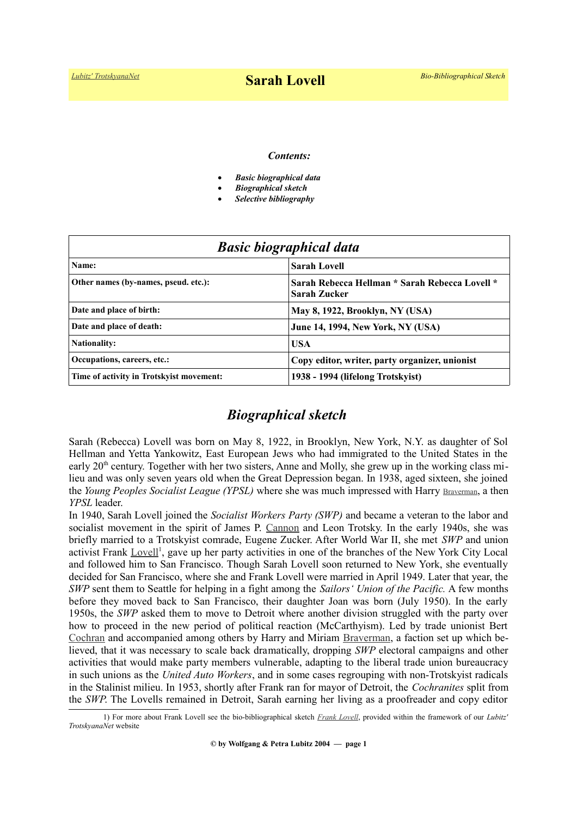#### *Contents:*

- *Basic biographical data*
- *Biographical sketch*
- *Selective bibliography*

| <b>Basic biographical data</b>           |                                                                |
|------------------------------------------|----------------------------------------------------------------|
| Name:                                    | <b>Sarah Lovell</b>                                            |
| Other names (by-names, pseud. etc.):     | Sarah Rebecca Hellman * Sarah Rebecca Lovell *<br>Sarah Zucker |
| Date and place of birth:                 | May 8, 1922, Brooklyn, NY (USA)                                |
| Date and place of death:                 | <b>June 14, 1994, New York, NY (USA)</b>                       |
| <b>Nationality:</b>                      | <b>USA</b>                                                     |
| Occupations, careers, etc.:              | Copy editor, writer, party organizer, unionist                 |
| Time of activity in Trotskyist movement: | 1938 - 1994 (lifelong Trotskyist)                              |

## *Biographical sketch*

Sarah (Rebecca) Lovell was born on May 8, 1922, in Brooklyn, New York, N.Y. as daughter of Sol Hellman and Yetta Yankowitz, East European Jews who had immigrated to the United States in the early 20<sup>th</sup> century. Together with her two sisters, Anne and Molly, she grew up in the working class milieu and was only seven years old when the Great Depression began. In 1938, aged sixteen, she joined the *Young Peoples Socialist League (YPSL)* where she was much impressed with Harry [Braverman](https://en.wikipedia.org/wiki/Harry_Braverman), a then *YPSL* leader.

In 1940, Sarah Lovell joined the *Socialist Workers Party (SWP)* and became a veteran to the labor and socialist movement in the spirit of James P. [Cannon](https://www.trotskyana.net/Trotskyists/Bio-Bibliographies/bio-bibl_cannon.pdf) and Leon Trotsky. In the early 1940s, she was briefly married to a Trotskyist comrade, Eugene Zucker. After World War II, she met *SWP* and union activist Frank [Lovell](https://www.trotskyana.net/Trotskyists/Bio-Bibliographies/bio-bibl_lovell_f.pdf)<sup>[1](#page-0-0)</sup>, gave up her party activities in one of the branches of the New York City Local and followed him to San Francisco. Though Sarah Lovell soon returned to New York, she eventually decided for San Francisco, where she and Frank Lovell were married in April 1949. Later that year, the *SWP* sent them to Seattle for helping in a fight among the *Sailors' Union of the Pacific.* A few months before they moved back to San Francisco, their daughter Joan was born (July 1950). In the early 1950s, the *SWP* asked them to move to Detroit where another division struggled with the party over how to proceed in the new period of political reaction (McCarthyism). Led by trade unionist Bert [Cochran](https://www.trotskyana.net/Trotskyists/Bio-Bibliographies/bio-bibl_cochran.pdf) and accompanied among others by Harry and Miriam [Braverman,](http://www.progressivelibrariansguild.org/content/bravermanbio.shtml) a faction set up which believed, that it was necessary to scale back dramatically, dropping *SWP* electoral campaigns and other activities that would make party members vulnerable, adapting to the liberal trade union bureaucracy in such unions as the *United Auto Workers*, and in some cases regrouping with non-Trotskyist radicals in the Stalinist milieu. In 1953, shortly after Frank ran for mayor of Detroit, the *Cochranites* split from the *SWP*. The Lovells remained in Detroit, Sarah earning her living as a proofreader and copy editor

<span id="page-0-0"></span><sup>1)</sup> For more about Frank Lovell see the bio-bibliographical sketch *[Frank Lovell](https://www.trotskyana.net/Trotskyists/Bio-Bibliographies/bio-bibl_lovell_f.pdf)*, provided within the framework of our *Lubitz' TrotskyanaNet* website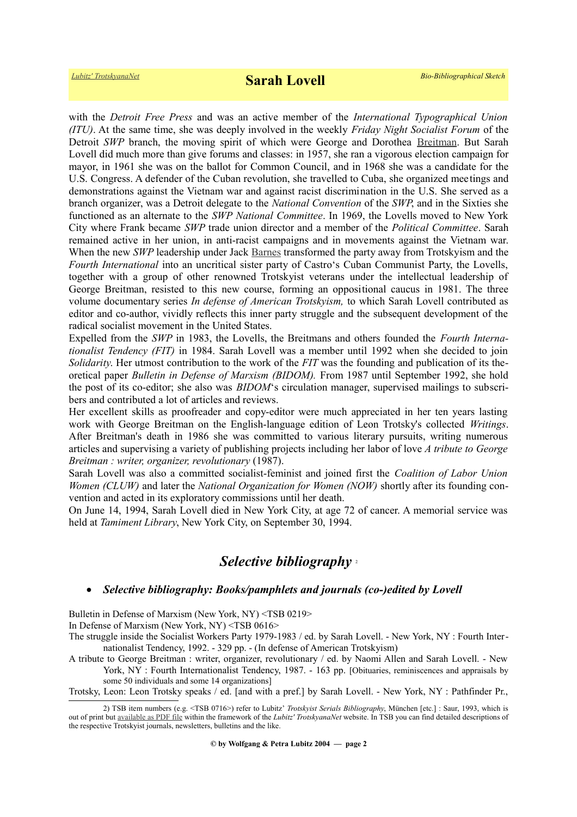with the *Detroit Free Press* and was an active member of the *International Typographical Union (ITU)*. At the same time, she was deeply involved in the weekly *Friday Night Socialist Forum* of the Detroit *SWP* branch, the moving spirit of which were George and Dorothea [Breitman.](https://www.trotskyana.net/Trotskyists/Bio-Bibliographies/bio-bibl_breitman.pdf) But Sarah Lovell did much more than give forums and classes: in 1957, she ran a vigorous election campaign for mayor, in 1961 she was on the ballot for Common Council, and in 1968 she was a candidate for the U.S. Congress. A defender of the Cuban revolution, she travelled to Cuba, she organized meetings and demonstrations against the Vietnam war and against racist discrimination in the U.S. She served as a branch organizer, was a Detroit delegate to the *National Convention* of the *SWP*, and in the Sixties she functioned as an alternate to the *SWP National Committee*. In 1969, the Lovells moved to New York City where Frank became *SWP* trade union director and a member of the *Political Committee*. Sarah remained active in her union, in anti-racist campaigns and in movements against the Vietnam war. When the new *SWP* leadership under Jack [Barnes](https://en.wikipedia.org/wiki/Jack_Barnes) transformed the party away from Trotskyism and the *Fourth International* into an uncritical sister party of Castro's Cuban Communist Party, the Lovells, together with a group of other renowned Trotskyist veterans under the intellectual leadership of George Breitman, resisted to this new course, forming an oppositional caucus in 1981. The three volume documentary series *In defense of American Trotskyism,* to which Sarah Lovell contributed as editor and co-author, vividly reflects this inner party struggle and the subsequent development of the radical socialist movement in the United States.

Expelled from the *SWP* in 1983, the Lovells, the Breitmans and others founded the *Fourth Internationalist Tendency (FIT)* in 1984. Sarah Lovell was a member until 1992 when she decided to join *Solidarity*. Her utmost contribution to the work of the *FIT* was the founding and publication of its theoretical paper *Bulletin in Defense of Marxism (BIDOM).* From 1987 until September 1992, she hold the post of its co-editor; she also was *BIDOM*'s circulation manager, supervised mailings to subscribers and contributed a lot of articles and reviews.

Her excellent skills as proofreader and copy-editor were much appreciated in her ten years lasting work with George Breitman on the English-language edition of Leon Trotsky's collected *Writings*. After Breitman's death in 1986 she was committed to various literary pursuits, writing numerous articles and supervising a variety of publishing projects including her labor of love *A tribute to George Breitman : writer, organizer, revolutionary* (1987).

Sarah Lovell was also a committed socialist-feminist and joined first the *Coalition of Labor Union Women (CLUW)* and later the *National Organization for Women (NOW)* shortly after its founding convention and acted in its exploratory commissions until her death.

On June 14, 1994, Sarah Lovell died in New York City, at age 72 of cancer. A memorial service was held at *Tamiment Library*, New York City, on September 30, 1994.

# *Selective bibliography* [2](#page-1-0)

#### *Selective bibliography: Books/pamphlets and journals (co-)edited by Lovell*

Bulletin in Defense of Marxism (New York, NY) <TSB 0219>

In Defense of Marxism (New York, NY) <TSB 0616>

The struggle inside the Socialist Workers Party 1979-1983 / ed. by Sarah Lovell. - New York, NY : Fourth Internationalist Tendency, 1992. - 329 pp. - (In defense of American Trotskyism)

A tribute to George Breitman : writer, organizer, revolutionary / ed. by Naomi Allen and Sarah Lovell. - New York, NY : Fourth Internationalist Tendency, 1987. - 163 pp. [Obituaries, reminiscences and appraisals by some 50 individuals and some 14 organizations]

Trotsky, Leon: Leon Trotsky speaks / ed. [and with a pref.] by Sarah Lovell. - New York, NY : Pathfinder Pr.,

<span id="page-1-0"></span><sup>2)</sup> TSB item numbers (e.g. <TSB 0716>) refer to Lubitz' *Trotskyist Serials Bibliography*, München [etc.] : Saur, 1993, which is out of print but [available as PDF file](https://www.trotskyana.net/LubitzBibliographies/Serials_Bibliography/serials_bibliography.htm#PDF) within the framework of the *Lubitz' TrotskyanaNet* website. In TSB you can find detailed descriptions of the respective Trotskyist journals, newsletters, bulletins and the like.